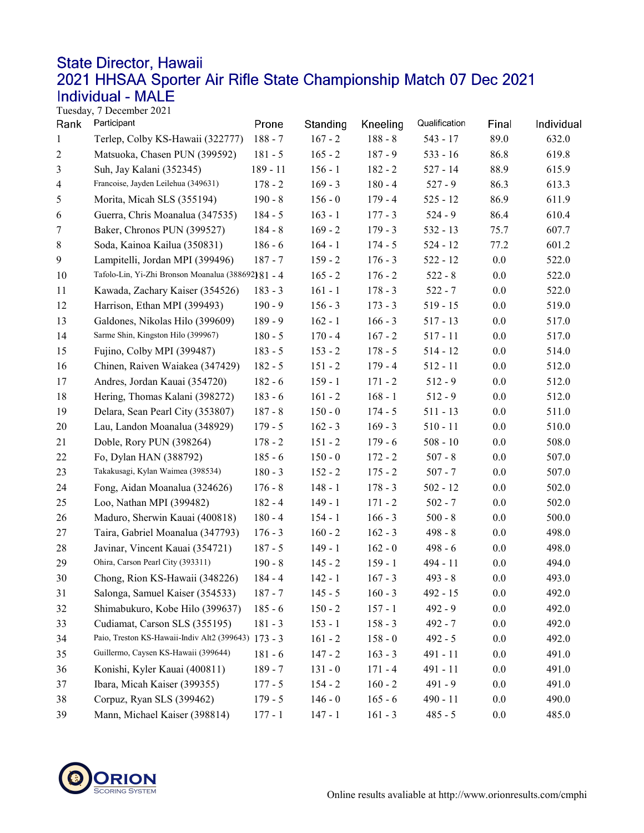## State Director, Hawaii<br>2021 HHSAA Sporter Air Rifle State Championship Match 07 Dec 2021 Individual - MALE<br>Tuesday, 7 December 2021

| Rank           | Participant                                         | Prone      | Standing  | Kneeling  | Qualification | Final   | Individual |
|----------------|-----------------------------------------------------|------------|-----------|-----------|---------------|---------|------------|
| 1              | Terlep, Colby KS-Hawaii (322777)                    | $188 - 7$  | $167 - 2$ | $188 - 8$ | $543 - 17$    | 89.0    | 632.0      |
| $\overline{c}$ | Matsuoka, Chasen PUN (399592)                       | $181 - 5$  | $165 - 2$ | $187 - 9$ | $533 - 16$    | 86.8    | 619.8      |
| 3              | Suh, Jay Kalani (352345)                            | $189 - 11$ | $156 - 1$ | $182 - 2$ | $527 - 14$    | 88.9    | 615.9      |
| 4              | Francoise, Jayden Leilehua (349631)                 | $178 - 2$  | $169 - 3$ | $180 - 4$ | $527 - 9$     | 86.3    | 613.3      |
| 5              | Morita, Micah SLS (355194)                          | $190 - 8$  | $156 - 0$ | $179 - 4$ | $525 - 12$    | 86.9    | 611.9      |
| 6              | Guerra, Chris Moanalua (347535)                     | $184 - 5$  | $163 - 1$ | $177 - 3$ | $524 - 9$     | 86.4    | 610.4      |
| 7              | Baker, Chronos PUN (399527)                         | $184 - 8$  | $169 - 2$ | $179 - 3$ | $532 - 13$    | 75.7    | 607.7      |
| $8\phantom{1}$ | Soda, Kainoa Kailua (350831)                        | $186 - 6$  | $164 - 1$ | $174 - 5$ | $524 - 12$    | 77.2    | 601.2      |
| 9              | Lampitelli, Jordan MPI (399496)                     | $187 - 7$  | $159 - 2$ | $176 - 3$ | $522 - 12$    | 0.0     | 522.0      |
| 10             | Tafolo-Lin, Yi-Zhi Bronson Moanalua (388692) 81 - 4 |            | $165 - 2$ | $176 - 2$ | $522 - 8$     | 0.0     | 522.0      |
| 11             | Kawada, Zachary Kaiser (354526)                     | $183 - 3$  | $161 - 1$ | $178 - 3$ | $522 - 7$     | 0.0     | 522.0      |
| 12             | Harrison, Ethan MPI (399493)                        | $190 - 9$  | $156 - 3$ | $173 - 3$ | $519 - 15$    | 0.0     | 519.0      |
| 13             | Galdones, Nikolas Hilo (399609)                     | $189 - 9$  | $162 - 1$ | $166 - 3$ | $517 - 13$    | $0.0\,$ | 517.0      |
| 14             | Sarme Shin, Kingston Hilo (399967)                  | $180 - 5$  | $170 - 4$ | $167 - 2$ | $517 - 11$    | 0.0     | 517.0      |
| 15             | Fujino, Colby MPI (399487)                          | $183 - 5$  | $153 - 2$ | $178 - 5$ | $514 - 12$    | 0.0     | 514.0      |
| 16             | Chinen, Raiven Waiakea (347429)                     | $182 - 5$  | $151 - 2$ | $179 - 4$ | $512 - 11$    | 0.0     | 512.0      |
| 17             | Andres, Jordan Kauai (354720)                       | $182 - 6$  | $159 - 1$ | $171 - 2$ | $512 - 9$     | 0.0     | 512.0      |
| 18             | Hering, Thomas Kalani (398272)                      | $183 - 6$  | $161 - 2$ | $168 - 1$ | $512 - 9$     | 0.0     | 512.0      |
| 19             | Delara, Sean Pearl City (353807)                    | $187 - 8$  | $150 - 0$ | $174 - 5$ | $511 - 13$    | 0.0     | 511.0      |
| 20             | Lau, Landon Moanalua (348929)                       | $179 - 5$  | $162 - 3$ | $169 - 3$ | $510 - 11$    | 0.0     | 510.0      |
| 21             | Doble, Rory PUN (398264)                            | $178 - 2$  | $151 - 2$ | $179 - 6$ | $508 - 10$    | 0.0     | 508.0      |
| 22             | Fo, Dylan HAN (388792)                              | $185 - 6$  | $150 - 0$ | $172 - 2$ | $507 - 8$     | 0.0     | 507.0      |
| 23             | Takakusagi, Kylan Waimea (398534)                   | $180 - 3$  | $152 - 2$ | $175 - 2$ | $507 - 7$     | 0.0     | 507.0      |
| 24             | Fong, Aidan Moanalua (324626)                       | $176 - 8$  | $148 - 1$ | $178 - 3$ | $502 - 12$    | 0.0     | 502.0      |
| 25             | Loo, Nathan MPI (399482)                            | $182 - 4$  | $149 - 1$ | $171 - 2$ | $502 - 7$     | 0.0     | 502.0      |
| 26             | Maduro, Sherwin Kauai (400818)                      | $180 - 4$  | $154 - 1$ | $166 - 3$ | $500 - 8$     | 0.0     | 500.0      |
| 27             | Taira, Gabriel Moanalua (347793)                    | $176 - 3$  | $160 - 2$ | $162 - 3$ | $498 - 8$     | 0.0     | 498.0      |
| 28             | Javinar, Vincent Kauai (354721)                     | $187 - 5$  | $149 - 1$ | $162 - 0$ | $498 - 6$     | 0.0     | 498.0      |
| 29             | Ohira, Carson Pearl City (393311)                   | $190 - 8$  | $145 - 2$ | $159 - 1$ | 494 - 11      | 0.0     | 494.0      |
| 30             | Chong, Rion KS-Hawaii (348226)                      | $184 - 4$  | $142 - 1$ | $167 - 3$ | $493 - 8$     | 0.0     | 493.0      |
| 31             | Salonga, Samuel Kaiser (354533)                     | $187 - 7$  | $145 - 5$ | $160 - 3$ | $492 - 15$    | $0.0\,$ | 492.0      |
| 32             | Shimabukuro, Kobe Hilo (399637)                     | $185 - 6$  | $150 - 2$ | $157 - 1$ | $492 - 9$     | 0.0     | 492.0      |
| 33             | Cudiamat, Carson SLS (355195)                       | $181 - 3$  | $153 - 1$ | $158 - 3$ | $492 - 7$     | 0.0     | 492.0      |
| 34             | Paio, Treston KS-Hawaii-Indiv Alt2 (399643) 173 - 3 |            | $161 - 2$ | $158 - 0$ | $492 - 5$     | 0.0     | 492.0      |
| 35             | Guillermo, Caysen KS-Hawaii (399644)                | $181 - 6$  | $147 - 2$ | $163 - 3$ | $491 - 11$    | 0.0     | 491.0      |
| 36             | Konishi, Kyler Kauai (400811)                       | $189 - 7$  | $131 - 0$ | $171 - 4$ | 491 - 11      | 0.0     | 491.0      |
| 37             | Ibara, Micah Kaiser (399355)                        | $177 - 5$  | $154 - 2$ | $160 - 2$ | $491 - 9$     | 0.0     | 491.0      |
| 38             | Corpuz, Ryan SLS (399462)                           | $179 - 5$  | $146 - 0$ | $165 - 6$ | $490 - 11$    | 0.0     | 490.0      |
| 39             | Mann, Michael Kaiser (398814)                       | $177 - 1$  | $147 - 1$ | $161 - 3$ | $485 - 5$     | $0.0\,$ | 485.0      |